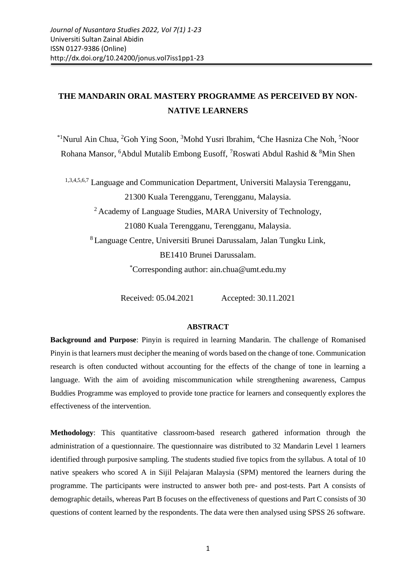# **THE MANDARIN ORAL MASTERY PROGRAMME AS PERCEIVED BY NON-NATIVE LEARNERS**

 $*1$ Nurul Ain Chua,  ${}^{2}$ Goh Ying Soon,  ${}^{3}$ Mohd Yusri Ibrahim,  ${}^{4}$ Che Hasniza Che Noh,  ${}^{5}$ Noor Rohana Mansor, <sup>6</sup>Abdul Mutalib Embong Eusoff, <sup>7</sup>Roswati Abdul Rashid  $\&$  <sup>8</sup>Min Shen

1,3,4,5,6,7 Language and Communication Department, Universiti Malaysia Terengganu,

21300 Kuala Terengganu, Terengganu, Malaysia.

<sup>2</sup> Academy of Language Studies, MARA University of Technology,

21080 Kuala Terengganu, Terengganu, Malaysia.

<sup>8</sup>Language Centre, Universiti Brunei Darussalam, Jalan Tungku Link, BE1410 Brunei Darussalam.

\*Corresponding author: ain.chua@umt.edu.my

Received: 05.04.2021 Accepted: 30.11.2021

## **ABSTRACT**

**Background and Purpose**: Pinyin is required in learning Mandarin. The challenge of Romanised Pinyin is that learners must decipher the meaning of words based on the change of tone. Communication research is often conducted without accounting for the effects of the change of tone in learning a language. With the aim of avoiding miscommunication while strengthening awareness, Campus Buddies Programme was employed to provide tone practice for learners and consequently explores the effectiveness of the intervention.

**Methodology**: This quantitative classroom-based research gathered information through the administration of a questionnaire. The questionnaire was distributed to 32 Mandarin Level 1 learners identified through purposive sampling. The students studied five topics from the syllabus. A total of 10 native speakers who scored A in Sijil Pelajaran Malaysia (SPM) mentored the learners during the programme. The participants were instructed to answer both pre- and post-tests. Part A consists of demographic details, whereas Part B focuses on the effectiveness of questions and Part C consists of 30 questions of content learned by the respondents. The data were then analysed using SPSS 26 software.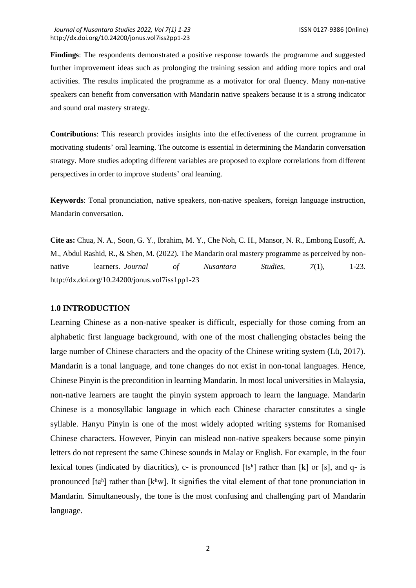**Findings**: The respondents demonstrated a positive response towards the programme and suggested further improvement ideas such as prolonging the training session and adding more topics and oral activities. The results implicated the programme as a motivator for oral fluency. Many non-native speakers can benefit from conversation with Mandarin native speakers because it is a strong indicator and sound oral mastery strategy.

**Contributions**: This research provides insights into the effectiveness of the current programme in motivating students' oral learning. The outcome is essential in determining the Mandarin conversation strategy. More studies adopting different variables are proposed to explore correlations from different perspectives in order to improve students' oral learning.

**Keywords**: Tonal pronunciation, native speakers, non-native speakers, foreign language instruction, Mandarin conversation.

**Cite as:** Chua, N. A., Soon, G. Y., Ibrahim, M. Y., Che Noh, C. H., Mansor, N. R., Embong Eusoff, A. M., Abdul Rashid, R., & Shen, M. (2022). The Mandarin oral mastery programme as perceived by nonnative learners. *Journal of Nusantara Studies, 7*(1), 1-23. http://dx.doi.org/10.24200/jonus.vol7iss1pp1-23

#### **1.0 INTRODUCTION**

Learning Chinese as a non-native speaker is difficult, especially for those coming from an alphabetic first language background, with one of the most challenging obstacles being the large number of Chinese characters and the opacity of the Chinese writing system (Lü, 2017). Mandarin is a tonal language, and tone changes do not exist in non-tonal languages. Hence, Chinese Pinyin is the precondition in learning Mandarin. In most local universities in Malaysia, non-native learners are taught the pinyin system approach to learn the language. Mandarin Chinese is a monosyllabic language in which each Chinese character constitutes a single syllable. Hanyu Pinyin is one of the most widely adopted writing systems for Romanised Chinese characters. However, Pinyin can mislead non-native speakers because some pinyin letters do not represent the same Chinese sounds in Malay or English. For example, in the four lexical tones (indicated by diacritics), c- is pronounced  $[ts<sup>h</sup>]$  rather than  $[k]$  or  $[s]$ , and q- is pronounced  $[t\mathfrak{g}^h]$  rather than  $[k^h w]$ . It signifies the vital element of that tone pronunciation in Mandarin. Simultaneously, the tone is the most confusing and challenging part of Mandarin language.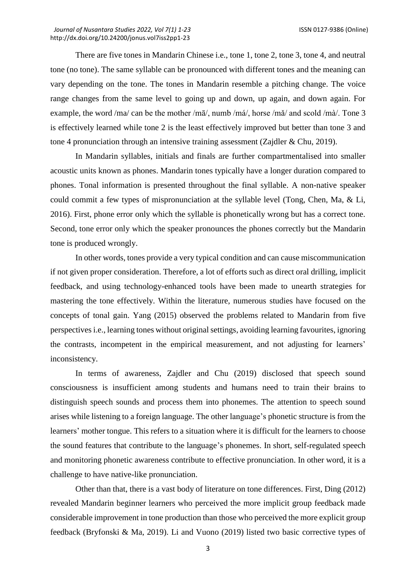There are five tones in Mandarin Chinese i.e., tone 1, tone 2, tone 3, tone 4, and neutral tone (no tone). The same syllable can be pronounced with different tones and the meaning can vary depending on the tone. The tones in Mandarin resemble a pitching change. The voice range changes from the same level to going up and down, up again, and down again. For example, the word /ma/ can be the mother /mā/, numb /má/, horse /mǎ/ and scold /mà/. Tone 3 is effectively learned while tone 2 is the least effectively improved but better than tone 3 and tone 4 pronunciation through an intensive training assessment (Zajdler & Chu, 2019).

In Mandarin syllables, initials and finals are further compartmentalised into smaller acoustic units known as phones. Mandarin tones typically have a longer duration compared to phones. Tonal information is presented throughout the final syllable. A non-native speaker could commit a few types of mispronunciation at the syllable level (Tong, Chen, Ma, & Li, 2016). First, phone error only which the syllable is phonetically wrong but has a correct tone. Second, tone error only which the speaker pronounces the phones correctly but the Mandarin tone is produced wrongly.

In other words, tones provide a very typical condition and can cause miscommunication if not given proper consideration. Therefore, a lot of efforts such as direct oral drilling, implicit feedback, and using technology-enhanced tools have been made to unearth strategies for mastering the tone effectively. Within the literature, numerous studies have focused on the concepts of tonal gain. Yang (2015) observed the problems related to Mandarin from five perspectives i.e., learning tones without original settings, avoiding learning favourites, ignoring the contrasts, incompetent in the empirical measurement, and not adjusting for learners' inconsistency.

In terms of awareness, Zajdler and Chu (2019) disclosed that speech sound consciousness is insufficient among students and humans need to train their brains to distinguish speech sounds and process them into phonemes. The attention to speech sound arises while listening to a foreign language. The other language's phonetic structure is from the learners' mother tongue. This refers to a situation where it is difficult for the learners to choose the sound features that contribute to the language's phonemes. In short, self-regulated speech and monitoring phonetic awareness contribute to effective pronunciation. In other word, it is a challenge to have native-like pronunciation.

Other than that, there is a vast body of literature on tone differences. First, Ding (2012) revealed Mandarin beginner learners who perceived the more implicit group feedback made considerable improvement in tone production than those who perceived the more explicit group feedback (Bryfonski & Ma, 2019). Li and Vuono (2019) listed two basic corrective types of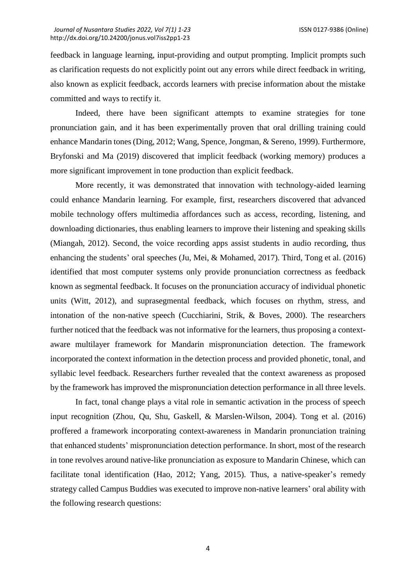feedback in language learning, input-providing and output prompting. Implicit prompts such as clarification requests do not explicitly point out any errors while direct feedback in writing, also known as explicit feedback, accords learners with precise information about the mistake committed and ways to rectify it.

Indeed, there have been significant attempts to examine strategies for tone pronunciation gain, and it has been experimentally proven that oral drilling training could enhance Mandarin tones (Ding, 2012; Wang, Spence, Jongman, & Sereno, 1999). Furthermore, Bryfonski and Ma (2019) discovered that implicit feedback (working memory) produces a more significant improvement in tone production than explicit feedback.

More recently, it was demonstrated that innovation with technology-aided learning could enhance Mandarin learning. For example, first, researchers discovered that advanced mobile technology offers multimedia affordances such as access, recording, listening, and downloading dictionaries, thus enabling learners to improve their listening and speaking skills (Miangah, 2012). Second, the voice recording apps assist students in audio recording, thus enhancing the students' oral speeches (Ju, Mei, & Mohamed, 2017). Third, Tong et al. (2016) identified that most computer systems only provide pronunciation correctness as feedback known as segmental feedback. It focuses on the pronunciation accuracy of individual phonetic units (Witt, 2012), and suprasegmental feedback, which focuses on rhythm, stress, and intonation of the non-native speech (Cucchiarini, Strik, & Boves, 2000). The researchers further noticed that the feedback was not informative for the learners, thus proposing a contextaware multilayer framework for Mandarin mispronunciation detection. The framework incorporated the context information in the detection process and provided phonetic, tonal, and syllabic level feedback. Researchers further revealed that the context awareness as proposed by the framework has improved the mispronunciation detection performance in all three levels.

In fact, tonal change plays a vital role in semantic activation in the process of speech input recognition (Zhou, Qu, Shu, Gaskell, & Marslen-Wilson, 2004). Tong et al. (2016) proffered a framework incorporating context-awareness in Mandarin pronunciation training that enhanced students' mispronunciation detection performance. In short, most of the research in tone revolves around native-like pronunciation as exposure to Mandarin Chinese, which can facilitate tonal identification (Hao, 2012; Yang, 2015). Thus, a native-speaker's remedy strategy called Campus Buddies was executed to improve non-native learners' oral ability with the following research questions: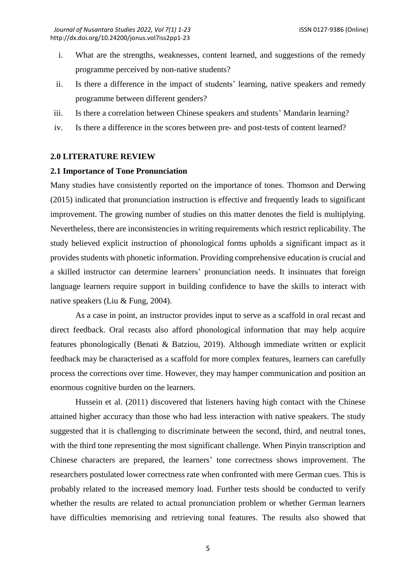- i. What are the strengths, weaknesses, content learned, and suggestions of the remedy programme perceived by non-native students?
- ii. Is there a difference in the impact of students' learning, native speakers and remedy programme between different genders?
- iii. Is there a correlation between Chinese speakers and students' Mandarin learning?
- iv. Is there a difference in the scores between pre- and post-tests of content learned?

## **2.0 LITERATURE REVIEW**

## **2.1 Importance of Tone Pronunciation**

Many studies have consistently reported on the importance of tones. Thomson and Derwing (2015) indicated that pronunciation instruction is effective and frequently leads to significant improvement. The growing number of studies on this matter denotes the field is multiplying. Nevertheless, there are inconsistencies in writing requirements which restrict replicability. The study believed explicit instruction of phonological forms upholds a significant impact as it provides students with phonetic information. Providing comprehensive education is crucial and a skilled instructor can determine learners' pronunciation needs. It insinuates that foreign language learners require support in building confidence to have the skills to interact with native speakers (Liu & Fung, 2004).

As a case in point, an instructor provides input to serve as a scaffold in oral recast and direct feedback. Oral recasts also afford phonological information that may help acquire features phonologically (Benati & Batziou, 2019). Although immediate written or explicit feedback may be characterised as a scaffold for more complex features, learners can carefully process the corrections over time. However, they may hamper communication and position an enormous cognitive burden on the learners.

Hussein et al. (2011) discovered that listeners having high contact with the Chinese attained higher accuracy than those who had less interaction with native speakers. The study suggested that it is challenging to discriminate between the second, third, and neutral tones, with the third tone representing the most significant challenge. When Pinyin transcription and Chinese characters are prepared, the learners' tone correctness shows improvement. The researchers postulated lower correctness rate when confronted with mere German cues. This is probably related to the increased memory load. Further tests should be conducted to verify whether the results are related to actual pronunciation problem or whether German learners have difficulties memorising and retrieving tonal features. The results also showed that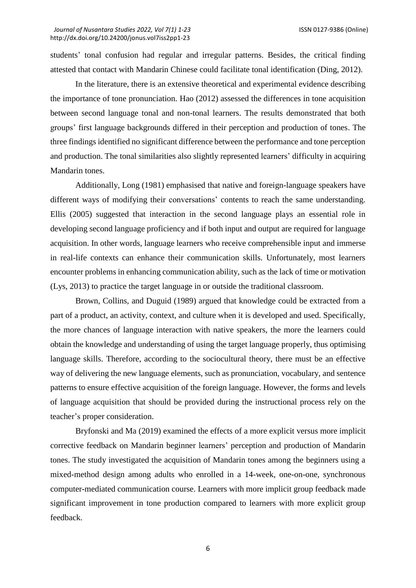students' tonal confusion had regular and irregular patterns. Besides, the critical finding attested that contact with Mandarin Chinese could facilitate tonal identification (Ding, 2012).

In the literature, there is an extensive theoretical and experimental evidence describing the importance of tone pronunciation. Hao (2012) assessed the differences in tone acquisition between second language tonal and non-tonal learners. The results demonstrated that both groups' first language backgrounds differed in their perception and production of tones. The three findings identified no significant difference between the performance and tone perception and production. The tonal similarities also slightly represented learners' difficulty in acquiring Mandarin tones.

Additionally, Long (1981) emphasised that native and foreign-language speakers have different ways of modifying their conversations' contents to reach the same understanding. Ellis (2005) suggested that interaction in the second language plays an essential role in developing second language proficiency and if both input and output are required for language acquisition. In other words, language learners who receive comprehensible input and immerse in real-life contexts can enhance their communication skills. Unfortunately, most learners encounter problems in enhancing communication ability, such as the lack of time or motivation (Lys, 2013) to practice the target language in or outside the traditional classroom.

Brown, Collins, and Duguid (1989) argued that knowledge could be extracted from a part of a product, an activity, context, and culture when it is developed and used. Specifically, the more chances of language interaction with native speakers, the more the learners could obtain the knowledge and understanding of using the target language properly, thus optimising language skills. Therefore, according to the sociocultural theory, there must be an effective way of delivering the new language elements, such as pronunciation, vocabulary, and sentence patterns to ensure effective acquisition of the foreign language. However, the forms and levels of language acquisition that should be provided during the instructional process rely on the teacher's proper consideration.

Bryfonski and Ma (2019) examined the effects of a more explicit versus more implicit corrective feedback on Mandarin beginner learners' perception and production of Mandarin tones. The study investigated the acquisition of Mandarin tones among the beginners using a mixed-method design among adults who enrolled in a 14-week, one-on-one, synchronous computer-mediated communication course. Learners with more implicit group feedback made significant improvement in tone production compared to learners with more explicit group feedback.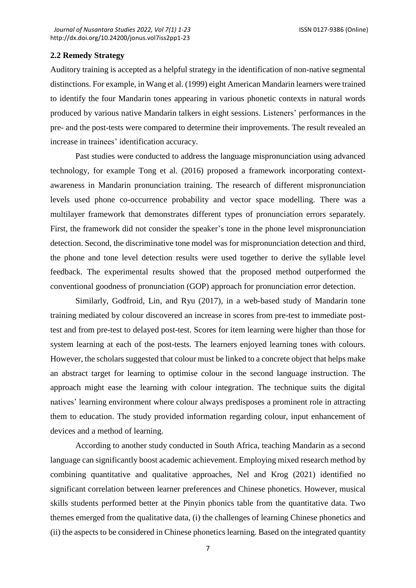## **2.2 Remedy Strategy**

Auditory training is accepted as a helpful strategy in the identification of non-native segmental distinctions. For example, in Wang et al. (1999) eight American Mandarin learners were trained to identify the four Mandarin tones appearing in various phonetic contexts in natural words produced by various native Mandarin talkers in eight sessions. Listeners' performances in the pre- and the post-tests were compared to determine their improvements. The result revealed an increase in trainees' identification accuracy.

Past studies were conducted to address the language mispronunciation using advanced technology, for example Tong et al. (2016) proposed a framework incorporating contextawareness in Mandarin pronunciation training. The research of different mispronunciation levels used phone co-occurrence probability and vector space modelling. There was a multilayer framework that demonstrates different types of pronunciation errors separately. First, the framework did not consider the speaker's tone in the phone level mispronunciation detection. Second, the discriminative tone model was for mispronunciation detection and third, the phone and tone level detection results were used together to derive the syllable level feedback. The experimental results showed that the proposed method outperformed the conventional goodness of pronunciation (GOP) approach for pronunciation error detection.

Similarly, Godfroid, Lin, and Ryu (2017), in a web-based study of Mandarin tone training mediated by colour discovered an increase in scores from pre-test to immediate posttest and from pre-test to delayed post-test. Scores for item learning were higher than those for system learning at each of the post-tests. The learners enjoyed learning tones with colours. However, the scholars suggested that colour must be linked to a concrete object that helps make an abstract target for learning to optimise colour in the second language instruction. The approach might ease the learning with colour integration. The technique suits the digital natives' learning environment where colour always predisposes a prominent role in attracting them to education. The study provided information regarding colour, input enhancement of devices and a method of learning.

According to another study conducted in South Africa, teaching Mandarin as a second language can significantly boost academic achievement. Employing mixed research method by combining quantitative and qualitative approaches, Nel and Krog (2021) identified no significant correlation between learner preferences and Chinese phonetics. However, musical skills students performed better at the Pinyin phonics table from the quantitative data. Two themes emerged from the qualitative data, (i) the challenges of learning Chinese phonetics and (ii) the aspects to be considered in Chinese phonetics learning. Based on the integrated quantity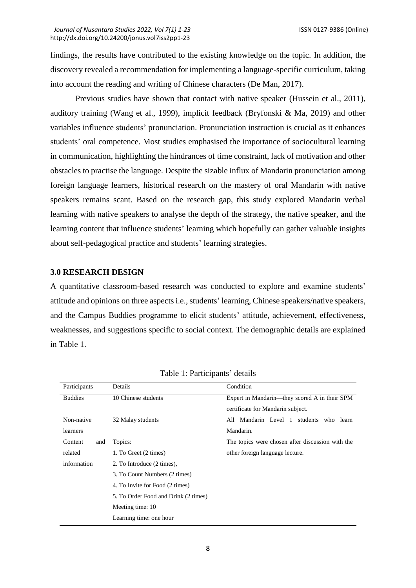findings, the results have contributed to the existing knowledge on the topic. In addition, the discovery revealed a recommendation for implementing a language-specific curriculum, taking into account the reading and writing of Chinese characters (De Man, 2017).

Previous studies have shown that contact with native speaker (Hussein et al., 2011), auditory training (Wang et al., 1999), implicit feedback (Bryfonski & Ma, 2019) and other variables influence students' pronunciation. Pronunciation instruction is crucial as it enhances students' oral competence. Most studies emphasised the importance of sociocultural learning in communication, highlighting the hindrances of time constraint, lack of motivation and other obstacles to practise the language. Despite the sizable influx of Mandarin pronunciation among foreign language learners, historical research on the mastery of oral Mandarin with native speakers remains scant. Based on the research gap, this study explored Mandarin verbal learning with native speakers to analyse the depth of the strategy, the native speaker, and the learning content that influence students' learning which hopefully can gather valuable insights about self-pedagogical practice and students' learning strategies.

## **3.0 RESEARCH DESIGN**

A quantitative classroom-based research was conducted to explore and examine students' attitude and opinions on three aspects i.e., students' learning, Chinese speakers/native speakers, and the Campus Buddies programme to elicit students' attitude, achievement, effectiveness, weaknesses, and suggestions specific to social context. The demographic details are explained in Table 1.

| Participants   | Details                              | Condition                                        |  |  |  |
|----------------|--------------------------------------|--------------------------------------------------|--|--|--|
| <b>Buddies</b> | 10 Chinese students                  | Expert in Mandarin—they scored A in their SPM    |  |  |  |
|                |                                      | certificate for Mandarin subject.                |  |  |  |
| Non-native     | 32 Malay students                    | All Mandarin Level 1<br>students who<br>learn    |  |  |  |
| learners       |                                      | Mandarin.                                        |  |  |  |
| Content<br>and | Topics:                              | The topics were chosen after discussion with the |  |  |  |
| related        | 1. To Greet (2 times)                | other foreign language lecture.                  |  |  |  |
| information    | 2. To Introduce (2 times),           |                                                  |  |  |  |
|                | 3. To Count Numbers (2 times)        |                                                  |  |  |  |
|                | 4. To Invite for Food (2 times)      |                                                  |  |  |  |
|                | 5. To Order Food and Drink (2 times) |                                                  |  |  |  |
|                | Meeting time: 10                     |                                                  |  |  |  |
|                | Learning time: one hour              |                                                  |  |  |  |

Table 1: Participants' details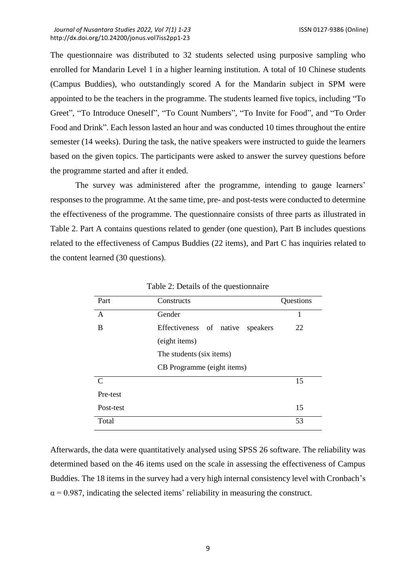The questionnaire was distributed to 32 students selected using purposive sampling who enrolled for Mandarin Level 1 in a higher learning institution. A total of 10 Chinese students (Campus Buddies), who outstandingly scored A for the Mandarin subject in SPM were appointed to be the teachers in the programme. The students learned five topics, including "To Greet", "To Introduce Oneself", "To Count Numbers", "To Invite for Food", and "To Order Food and Drink". Each lesson lasted an hour and was conducted 10 times throughout the entire semester (14 weeks). During the task, the native speakers were instructed to guide the learners based on the given topics. The participants were asked to answer the survey questions before the programme started and after it ended.

The survey was administered after the programme, intending to gauge learners' responses to the programme. At the same time, pre- and post-tests were conducted to determine the effectiveness of the programme. The questionnaire consists of three parts as illustrated in Table 2. Part A contains questions related to gender (one question), Part B includes questions related to the effectiveness of Campus Buddies (22 items), and Part C has inquiries related to the content learned (30 questions).

| Part          | Constructs                          | Questions |  |  |  |
|---------------|-------------------------------------|-----------|--|--|--|
| A             | Gender                              |           |  |  |  |
| B             | Effectiveness of native<br>speakers | 22        |  |  |  |
|               | (eight items)                       |           |  |  |  |
|               | The students (six items)            |           |  |  |  |
|               | CB Programme (eight items)          |           |  |  |  |
| $\mathcal{C}$ |                                     | 15        |  |  |  |
| Pre-test      |                                     |           |  |  |  |
| Post-test     |                                     | 15        |  |  |  |
| Total         |                                     | 53        |  |  |  |

Table 2: Details of the questionnaire

Afterwards, the data were quantitatively analysed using SPSS 26 software. The reliability was determined based on the 46 items used on the scale in assessing the effectiveness of Campus Buddies. The 18 items in the survey had a very high internal consistency level with Cronbach's  $\alpha$  = 0.987, indicating the selected items' reliability in measuring the construct.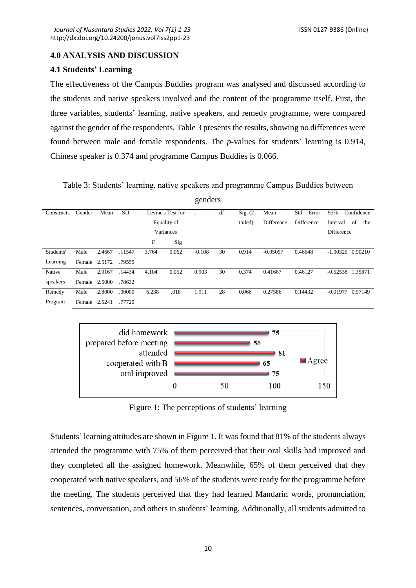## **4.0 ANALYSIS AND DISCUSSION**

## **4.1 Students' Learning**

The effectiveness of the Campus Buddies program was analysed and discussed according to the students and native speakers involved and the content of the programme itself. First, the three variables, students' learning, native speakers, and remedy programme, were compared against the gender of the respondents. Table 3 presents the results, showing no differences were found between male and female respondents. The *p*-values for students' learning is 0.914, Chinese speaker is 0.374 and programme Campus Buddies is 0.066.

Table 3: Students' learning, native speakers and programme Campus Buddies between

| genders    |               |        |           |             |                   |          |    |            |            |               |                       |
|------------|---------------|--------|-----------|-------------|-------------------|----------|----|------------|------------|---------------|-----------------------|
| Constructs | Gender        | Mean   | <b>SD</b> |             | Levine's Test for |          | df | $Sig. (2-$ | Mean       | Std.<br>Error | 95%<br>Confidence     |
|            |               |        |           | Equality of |                   |          |    | tailed)    | Difference | Difference    | of<br>Interval<br>the |
|            |               |        |           | Variances   |                   |          |    |            |            |               | Difference            |
|            |               |        |           | F           | Sig               |          |    |            |            |               |                       |
| Students'  | Male          | 2.4667 | .11547    | 3.764       | 0.062             | $-0.108$ | 30 | 0.914      | $-0.05057$ | 0.46648       | $-1.00325$<br>0.90210 |
| Learning   | Female 2.5172 |        | .79555    |             |                   |          |    |            |            |               |                       |
| Native     | Male          | 2.9167 | .14434    | 4.104       | 0.052             | 0.903    | 30 | 0.374      | 0.41667    | 0.46127       | $-0.52538$<br>1.35871 |
| speakers   | Female 2.5000 |        | .78632    |             |                   |          |    |            |            |               |                       |
| Remedy     | Male          | 2.8000 | .00000    | 6.238       | .018              | 1.911    | 28 | 0.066      | 0.27586    | 0.14432       | $-0.01977$<br>0.57149 |
| Program    | Female        | 2.5241 | .77720    |             |                   |          |    |            |            |               |                       |



Figure 1: The perceptions of students' learning

Students' learning attitudes are shown in Figure 1. It was found that 81% of the students always attended the programme with 75% of them perceived that their oral skills had improved and they completed all the assigned homework. Meanwhile, 65% of them perceived that they cooperated with native speakers, and 56% of the students were ready for the programme before the meeting. The students perceived that they had learned Mandarin words, pronunciation, sentences, conversation, and others in students' learning. Additionally, all students admitted to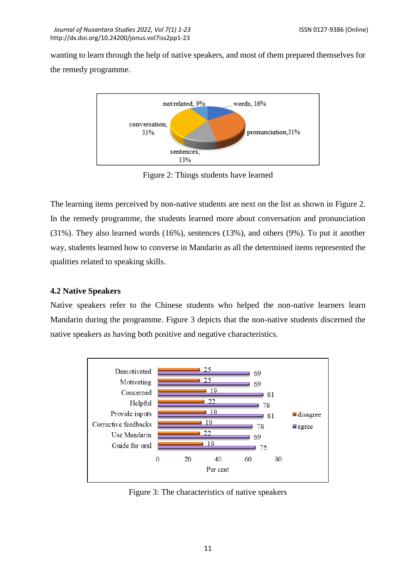wanting to learn through the help of native speakers, and most of them prepared themselves for the remedy programme.



Figure 2: Things students have learned

The learning items perceived by non-native students are next on the list as shown in Figure 2. In the remedy programme, the students learned more about conversation and pronunciation (31%). They also learned words (16%), sentences (13%), and others (9%). To put it another way, students learned how to converse in Mandarin as all the determined items represented the qualities related to speaking skills.

## **4.2 Native Speakers**

Native speakers refer to the Chinese students who helped the non-native learners learn Mandarin during the programme. Figure 3 depicts that the non-native students discerned the native speakers as having both positive and negative characteristics.



Figure 3: The characteristics of native speakers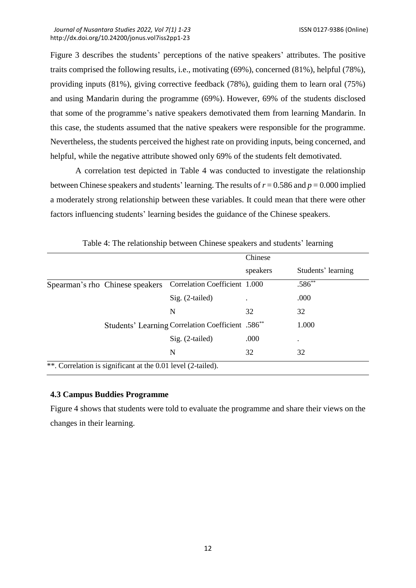Figure 3 describes the students' perceptions of the native speakers' attributes. The positive traits comprised the following results, i.e., motivating (69%), concerned (81%), helpful (78%), providing inputs (81%), giving corrective feedback (78%), guiding them to learn oral (75%) and using Mandarin during the programme (69%). However, 69% of the students disclosed that some of the programme's native speakers demotivated them from learning Mandarin. In this case, the students assumed that the native speakers were responsible for the programme. Nevertheless, the students perceived the highest rate on providing inputs, being concerned, and helpful, while the negative attribute showed only 69% of the students felt demotivated.

A correlation test depicted in Table 4 was conducted to investigate the relationship between Chinese speakers and students' learning. The results of  $r = 0.586$  and  $p = 0.000$  implied a moderately strong relationship between these variables. It could mean that there were other factors influencing students' learning besides the guidance of the Chinese speakers.

|                                                              |                                                               | Chinese  |                    |  |
|--------------------------------------------------------------|---------------------------------------------------------------|----------|--------------------|--|
|                                                              |                                                               | speakers | Students' learning |  |
| Spearman's rho Chinese speakers                              | Correlation Coefficient 1.000                                 |          | .586**             |  |
|                                                              | Sig. (2-tailed)                                               |          | .000               |  |
|                                                              | N                                                             | 32       | 32                 |  |
|                                                              | Students' Learning Correlation Coefficient .586 <sup>**</sup> |          | 1.000              |  |
|                                                              | Sig. (2-tailed)                                               | .000     | ٠                  |  |
|                                                              | N                                                             | 32       | 32                 |  |
| **. Correlation is significant at the 0.01 level (2-tailed). |                                                               |          |                    |  |

Table 4: The relationship between Chinese speakers and students' learning

# **4.3 Campus Buddies Programme**

Figure 4 shows that students were told to evaluate the programme and share their views on the changes in their learning.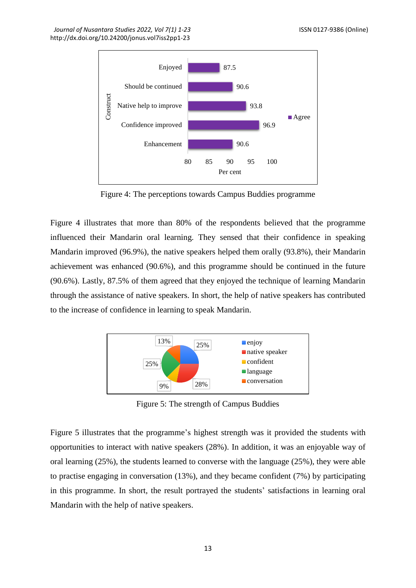

Figure 4: The perceptions towards Campus Buddies programme

Figure 4 illustrates that more than 80% of the respondents believed that the programme influenced their Mandarin oral learning. They sensed that their confidence in speaking Mandarin improved (96.9%), the native speakers helped them orally (93.8%), their Mandarin achievement was enhanced (90.6%), and this programme should be continued in the future (90.6%). Lastly, 87.5% of them agreed that they enjoyed the technique of learning Mandarin through the assistance of native speakers. In short, the help of native speakers has contributed to the increase of confidence in learning to speak Mandarin.



Figure 5: The strength of Campus Buddies

Figure 5 illustrates that the programme's highest strength was it provided the students with opportunities to interact with native speakers (28%). In addition, it was an enjoyable way of oral learning (25%), the students learned to converse with the language (25%), they were able to practise engaging in conversation (13%), and they became confident (7%) by participating in this programme. In short, the result portrayed the students' satisfactions in learning oral Mandarin with the help of native speakers.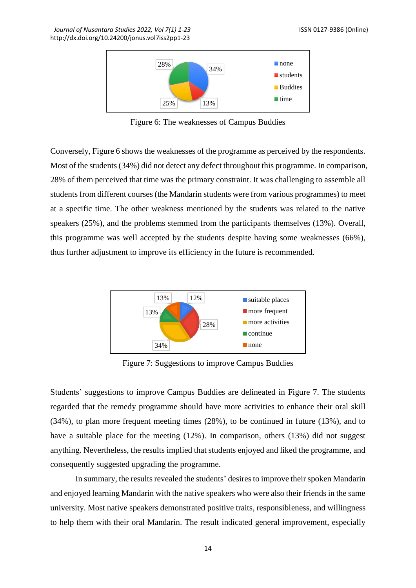

Figure 6: The weaknesses of Campus Buddies

Conversely, Figure 6 shows the weaknesses of the programme as perceived by the respondents. Most of the students (34%) did not detect any defect throughout this programme. In comparison, 28% of them perceived that time was the primary constraint. It was challenging to assemble all students from different courses (the Mandarin students were from various programmes) to meet at a specific time. The other weakness mentioned by the students was related to the native speakers (25%), and the problems stemmed from the participants themselves (13%). Overall, this programme was well accepted by the students despite having some weaknesses (66%), thus further adjustment to improve its efficiency in the future is recommended.



Figure 7: Suggestions to improve Campus Buddies

Students' suggestions to improve Campus Buddies are delineated in Figure 7. The students regarded that the remedy programme should have more activities to enhance their oral skill (34%), to plan more frequent meeting times (28%), to be continued in future (13%), and to have a suitable place for the meeting (12%). In comparison, others (13%) did not suggest anything. Nevertheless, the results implied that students enjoyed and liked the programme, and consequently suggested upgrading the programme.

In summary, the results revealed the students' desires to improve their spoken Mandarin and enjoyed learning Mandarin with the native speakers who were also their friends in the same university. Most native speakers demonstrated positive traits, responsibleness, and willingness to help them with their oral Mandarin. The result indicated general improvement, especially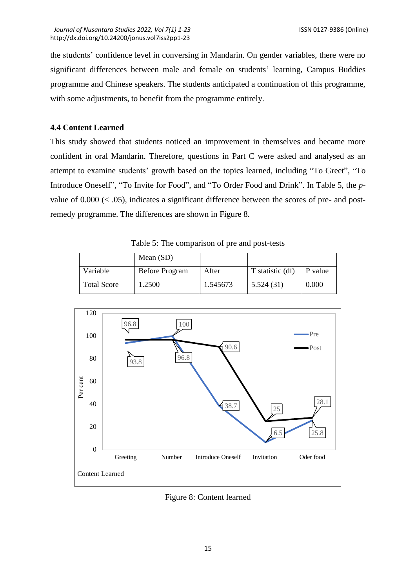the students' confidence level in conversing in Mandarin. On gender variables, there were no significant differences between male and female on students' learning, Campus Buddies programme and Chinese speakers. The students anticipated a continuation of this programme, with some adjustments, to benefit from the programme entirely.

## **4.4 Content Learned**

This study showed that students noticed an improvement in themselves and became more confident in oral Mandarin. Therefore, questions in Part C were asked and analysed as an attempt to examine students' growth based on the topics learned, including "To Greet", "To Introduce Oneself", "To Invite for Food", and "To Order Food and Drink". In Table 5, the *p*value of  $0.000 \, \ll .05$ ), indicates a significant difference between the scores of pre- and postremedy programme. The differences are shown in Figure 8.

|                    | Mean $(SD)$           |          |                  |         |
|--------------------|-----------------------|----------|------------------|---------|
| Variable           | <b>Before Program</b> | After    | T statistic (df) | P value |
| <b>Total Score</b> | .2500                 | 1.545673 | 5.524(31)        | 0.000   |

Table 5: The comparison of pre and post-tests



Figure 8: Content learned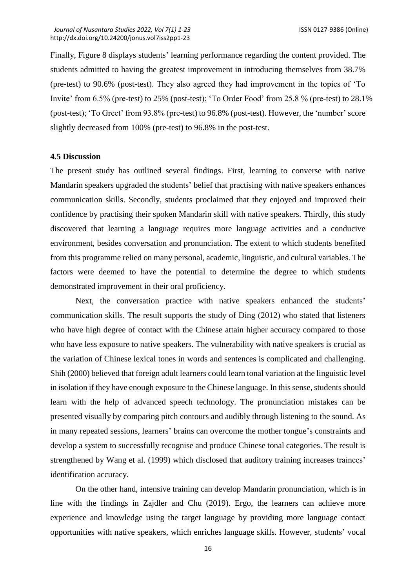Finally, Figure 8 displays students' learning performance regarding the content provided. The students admitted to having the greatest improvement in introducing themselves from 38.7% (pre-test) to 90.6% (post-test). They also agreed they had improvement in the topics of 'To Invite' from 6.5% (pre-test) to 25% (post-test); 'To Order Food' from 25.8 % (pre-test) to 28.1% (post-test); 'To Greet' from 93.8% (pre-test) to 96.8% (post-test). However, the 'number' score slightly decreased from 100% (pre-test) to 96.8% in the post-test.

#### **4.5 Discussion**

The present study has outlined several findings. First, learning to converse with native Mandarin speakers upgraded the students' belief that practising with native speakers enhances communication skills. Secondly, students proclaimed that they enjoyed and improved their confidence by practising their spoken Mandarin skill with native speakers. Thirdly, this study discovered that learning a language requires more language activities and a conducive environment, besides conversation and pronunciation. The extent to which students benefited from this programme relied on many personal, academic, linguistic, and cultural variables. The factors were deemed to have the potential to determine the degree to which students demonstrated improvement in their oral proficiency.

Next, the conversation practice with native speakers enhanced the students' communication skills. The result supports the study of Ding (2012) who stated that listeners who have high degree of contact with the Chinese attain higher accuracy compared to those who have less exposure to native speakers. The vulnerability with native speakers is crucial as the variation of Chinese lexical tones in words and sentences is complicated and challenging. Shih (2000) believed that foreign adult learners could learn tonal variation at the linguistic level in isolation if they have enough exposure to the Chinese language. In this sense, students should learn with the help of advanced speech technology. The pronunciation mistakes can be presented visually by comparing pitch contours and audibly through listening to the sound. As in many repeated sessions, learners' brains can overcome the mother tongue's constraints and develop a system to successfully recognise and produce Chinese tonal categories. The result is strengthened by Wang et al. (1999) which disclosed that auditory training increases trainees' identification accuracy.

On the other hand, intensive training can develop Mandarin pronunciation, which is in line with the findings in Zajdler and Chu (2019). Ergo, the learners can achieve more experience and knowledge using the target language by providing more language contact opportunities with native speakers, which enriches language skills. However, students' vocal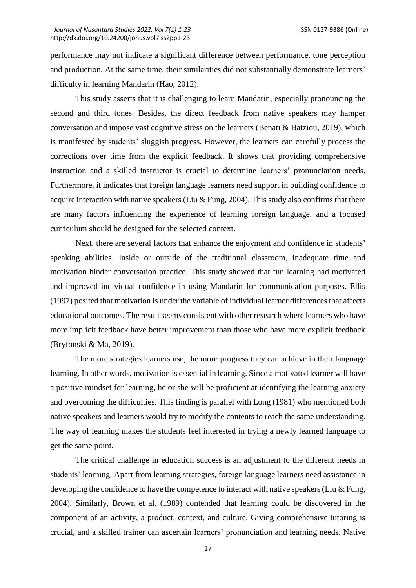performance may not indicate a significant difference between performance, tone perception and production. At the same time, their similarities did not substantially demonstrate learners' difficulty in learning Mandarin (Hao, 2012).

This study asserts that it is challenging to learn Mandarin, especially pronouncing the second and third tones. Besides, the direct feedback from native speakers may hamper conversation and impose vast cognitive stress on the learners (Benati  $\&$  Batziou, 2019), which is manifested by students' sluggish progress. However, the learners can carefully process the corrections over time from the explicit feedback. It shows that providing comprehensive instruction and a skilled instructor is crucial to determine learners' pronunciation needs. Furthermore, it indicates that foreign language learners need support in building confidence to acquire interaction with native speakers (Liu & Fung, 2004). This study also confirms that there are many factors influencing the experience of learning foreign language, and a focused curriculum should be designed for the selected context.

Next, there are several factors that enhance the enjoyment and confidence in students' speaking abilities. Inside or outside of the traditional classroom, inadequate time and motivation hinder conversation practice. This study showed that fun learning had motivated and improved individual confidence in using Mandarin for communication purposes. Ellis (1997) posited that motivation is under the variable of individual learner differences that affects educational outcomes. The result seems consistent with other research where learners who have more implicit feedback have better improvement than those who have more explicit feedback (Bryfonski & Ma, 2019).

The more strategies learners use, the more progress they can achieve in their language learning. In other words, motivation is essential in learning. Since a motivated learner will have a positive mindset for learning, he or she will be proficient at identifying the learning anxiety and overcoming the difficulties. This finding is parallel with Long (1981) who mentioned both native speakers and learners would try to modify the contents to reach the same understanding. The way of learning makes the students feel interested in trying a newly learned language to get the same point.

The critical challenge in education success is an adjustment to the different needs in students' learning. Apart from learning strategies, foreign language learners need assistance in developing the confidence to have the competence to interact with native speakers (Liu & Fung, 2004). Similarly, Brown et al. (1989) contended that learning could be discovered in the component of an activity, a product, context, and culture. Giving comprehensive tutoring is crucial, and a skilled trainer can ascertain learners' pronunciation and learning needs. Native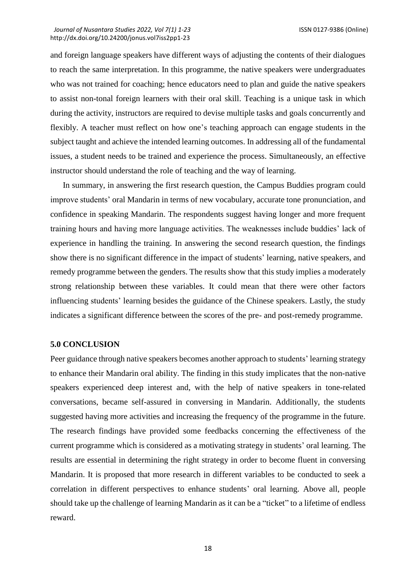and foreign language speakers have different ways of adjusting the contents of their dialogues to reach the same interpretation. In this programme, the native speakers were undergraduates who was not trained for coaching; hence educators need to plan and guide the native speakers to assist non-tonal foreign learners with their oral skill. Teaching is a unique task in which during the activity, instructors are required to devise multiple tasks and goals concurrently and flexibly. A teacher must reflect on how one's teaching approach can engage students in the subject taught and achieve the intended learning outcomes. In addressing all of the fundamental issues, a student needs to be trained and experience the process. Simultaneously, an effective instructor should understand the role of teaching and the way of learning.

In summary, in answering the first research question, the Campus Buddies program could improve students' oral Mandarin in terms of new vocabulary, accurate tone pronunciation, and confidence in speaking Mandarin. The respondents suggest having longer and more frequent training hours and having more language activities. The weaknesses include buddies' lack of experience in handling the training. In answering the second research question, the findings show there is no significant difference in the impact of students' learning, native speakers, and remedy programme between the genders. The results show that this study implies a moderately strong relationship between these variables. It could mean that there were other factors influencing students' learning besides the guidance of the Chinese speakers. Lastly, the study indicates a significant difference between the scores of the pre- and post-remedy programme.

## **5.0 CONCLUSION**

Peer guidance through native speakers becomes another approach to students' learning strategy to enhance their Mandarin oral ability. The finding in this study implicates that the non-native speakers experienced deep interest and, with the help of native speakers in tone-related conversations, became self-assured in conversing in Mandarin. Additionally, the students suggested having more activities and increasing the frequency of the programme in the future. The research findings have provided some feedbacks concerning the effectiveness of the current programme which is considered as a motivating strategy in students' oral learning. The results are essential in determining the right strategy in order to become fluent in conversing Mandarin. It is proposed that more research in different variables to be conducted to seek a correlation in different perspectives to enhance students' oral learning. Above all, people should take up the challenge of learning Mandarin as it can be a "ticket" to a lifetime of endless reward.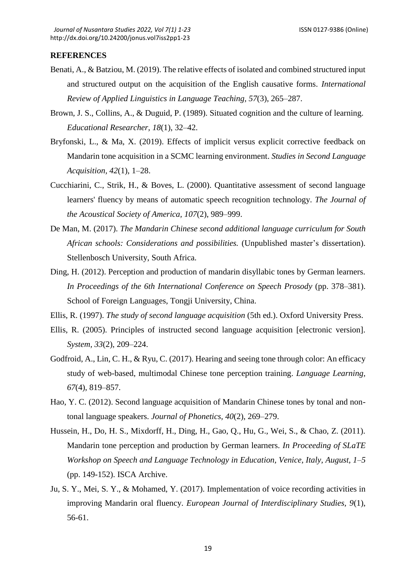#### **REFERENCES**

- Benati, A., & Batziou, M. (2019). The relative effects of isolated and combined structured input and structured output on the acquisition of the English causative forms. *International Review of Applied Linguistics in Language Teaching, 57*(3), 265–287.
- Brown, J. S., Collins, A., & Duguid, P. (1989). Situated cognition and the culture of learning. *Educational Researcher, 18*(1), 32–42.
- Bryfonski, L., & Ma, X. (2019). Effects of implicit versus explicit corrective feedback on Mandarin tone acquisition in a SCMC learning environment. *Studies in Second Language Acquisition, 42*(1), 1–28.
- Cucchiarini, C., Strik, H., & Boves, L. (2000). Quantitative assessment of second language learners' fluency by means of automatic speech recognition technology. *The Journal of the Acoustical Society of America, 107*(2), 989–999.
- De Man, M. (2017). *The Mandarin Chinese second additional language curriculum for South African schools: Considerations and possibilities.* (Unpublished master's dissertation). Stellenbosch University, South Africa.
- Ding, H. (2012). Perception and production of mandarin disyllabic tones by German learners. *In Proceedings of the 6th International Conference on Speech Prosody (pp. 378–381).* School of Foreign Languages, Tongji University, China.
- Ellis, R. (1997). *The study of second language acquisition* (5th ed.). Oxford University Press.
- Ellis, R. (2005). Principles of instructed second language acquisition [electronic version]. *System, 33*(2), 209–224.
- Godfroid, A., Lin, C. H., & Ryu, C. (2017). Hearing and seeing tone through color: An efficacy study of web-based, multimodal Chinese tone perception training. *Language Learning, 67*(4), 819–857.
- Hao, Y. C. (2012). Second language acquisition of Mandarin Chinese tones by tonal and nontonal language speakers. *Journal of Phonetics, 40*(2), 269–279.
- Hussein, H., Do, H. S., Mixdorff, H., Ding, H., Gao, Q., Hu, G., Wei, S., & Chao, Z. (2011). Mandarin tone perception and production by German learners. *In Proceeding of SLaTE Workshop on Speech and Language Technology in Education, Venice, Italy, August, 1–5* (pp. 149-152). ISCA Archive.
- Ju, S. Y., Mei, S. Y., & Mohamed, Y. (2017). Implementation of voice recording activities in improving Mandarin oral fluency. *European Journal of Interdisciplinary Studies, 9*(1), 56-61.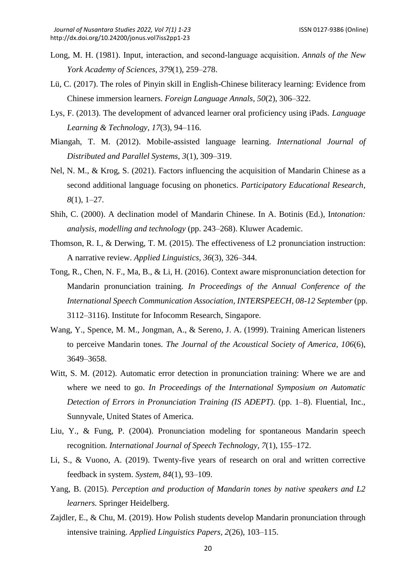- Long, M. H. (1981). Input, interaction, and second‐language acquisition. *Annals of the New York Academy of Sciences, 379*(1), 259–278.
- Lü, C. (2017). The roles of Pinyin skill in English-Chinese biliteracy learning: Evidence from Chinese immersion learners. *Foreign Language Annals, 50*(2), 306–322.
- Lys, F. (2013). The development of advanced learner oral proficiency using iPads. *Language Learning & Technology*, *17*(3), 94–116.
- Miangah, T. M. (2012). Mobile-assisted language learning. *International Journal of Distributed and Parallel Systems, 3*(1), 309–319.
- Nel, N. M., & Krog, S. (2021). Factors influencing the acquisition of Mandarin Chinese as a second additional language focusing on phonetics. *Participatory Educational Research, 8*(1), 1–27.
- Shih, C. (2000). A declination model of Mandarin Chinese. In A. Botinis (Ed.), I*ntonation: analysis, modelling and technology* (pp. 243–268). Kluwer Academic.
- Thomson, R. I., & Derwing, T. M. (2015). The effectiveness of L2 pronunciation instruction: A narrative review. *Applied Linguistics, 36*(3), 326–344.
- Tong, R., Chen, N. F., Ma, B., & Li, H. (2016). Context aware mispronunciation detection for Mandarin pronunciation training. *In Proceedings of the Annual Conference of the International Speech Communication Association, INTERSPEECH, 08-12 September* (pp. 3112–3116). Institute for Infocomm Research, Singapore.
- Wang, Y., Spence, M. M., Jongman, A., & Sereno, J. A. (1999). Training American listeners to perceive Mandarin tones. *The Journal of the Acoustical Society of America, 106*(6), 3649–3658.
- Witt, S. M. (2012). Automatic error detection in pronunciation training: Where we are and where we need to go. *In Proceedings of the International Symposium on Automatic Detection of Errors in Pronunciation Training (IS ADEPT).* (pp. 1–8). Fluential, Inc., Sunnyvale, United States of America.
- Liu, Y., & Fung, P. (2004). Pronunciation modeling for spontaneous Mandarin speech recognition. *International Journal of Speech Technology, 7*(1), 155–172.
- Li, S., & Vuono, A. (2019). Twenty-five years of research on oral and written corrective feedback in system. *System, 84*(1), 93–109.
- Yang, B. (2015). *Perception and production of Mandarin tones by native speakers and L2 learners.* Springer Heidelberg.
- Zajdler, E., & Chu, M. (2019). How Polish students develop Mandarin pronunciation through intensive training. *Applied Linguistics Papers, 2*(26), 103–115.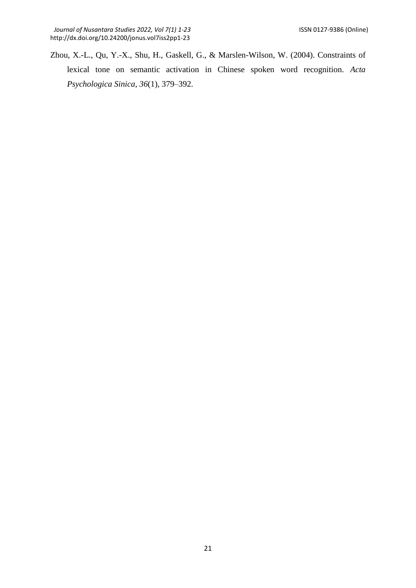Zhou, X.-L., Qu, Y.-X., Shu, H., Gaskell, G., & Marslen-Wilson, W. (2004). Constraints of lexical tone on semantic activation in Chinese spoken word recognition. *Acta Psychologica Sinica, 36*(1), 379–392.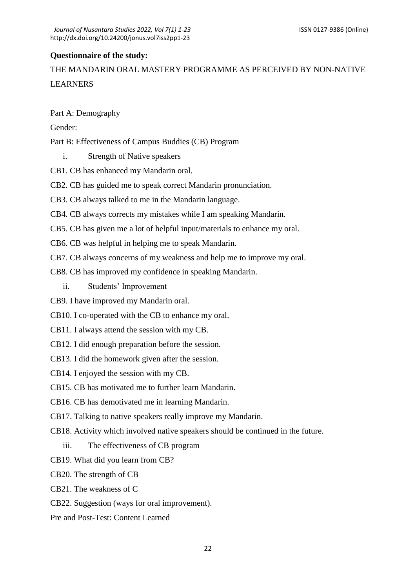## **Questionnaire of the study:**

THE MANDARIN ORAL MASTERY PROGRAMME AS PERCEIVED BY NON-NATIVE LEARNERS

Part A: Demography

Gender:

Part B: Effectiveness of Campus Buddies (CB) Program

i. Strength of Native speakers

CB1. CB has enhanced my Mandarin oral.

CB2. CB has guided me to speak correct Mandarin pronunciation.

CB3. CB always talked to me in the Mandarin language.

CB4. CB always corrects my mistakes while I am speaking Mandarin.

CB5. CB has given me a lot of helpful input/materials to enhance my oral.

CB6. CB was helpful in helping me to speak Mandarin.

CB7. CB always concerns of my weakness and help me to improve my oral.

CB8. CB has improved my confidence in speaking Mandarin.

ii. Students' Improvement

CB9. I have improved my Mandarin oral.

CB10. I co-operated with the CB to enhance my oral.

CB11. I always attend the session with my CB.

CB12. I did enough preparation before the session.

CB13. I did the homework given after the session.

CB14. I enjoyed the session with my CB.

CB15. CB has motivated me to further learn Mandarin.

CB16. CB has demotivated me in learning Mandarin.

CB17. Talking to native speakers really improve my Mandarin.

CB18. Activity which involved native speakers should be continued in the future.

iii. The effectiveness of CB program

CB19. What did you learn from CB?

CB20. The strength of CB

CB21. The weakness of C

CB22. Suggestion (ways for oral improvement).

Pre and Post-Test: Content Learned